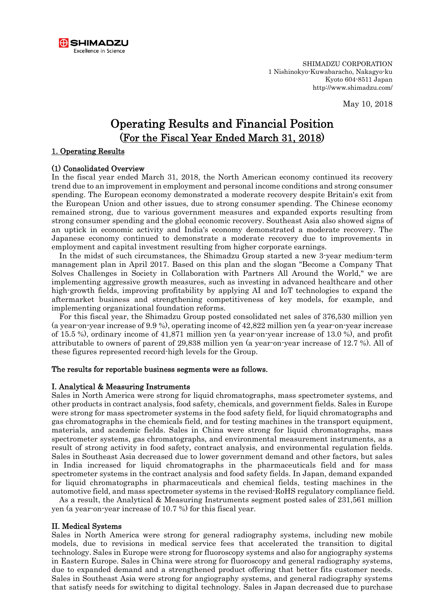

SHIMADZU CORPORATION 1 Nishinokyo-Kuwabaracho, Nakagyo-ku Kyoto 604-8511 Japan http://www.shimadzu.com/

May 10, 2018

# Operating Results and Financial Position (For the Fiscal Year Ended March 31, 2018)

### 1. Operating Results

### (1) Consolidated Overview

In the fiscal year ended March 31, 2018, the North American economy continued its recovery trend due to an improvement in employment and personal income conditions and strong consumer spending. The European economy demonstrated a moderate recovery despite Britain's exit from the European Union and other issues, due to strong consumer spending. The Chinese economy remained strong, due to various government measures and expanded exports resulting from strong consumer spending and the global economic recovery. Southeast Asia also showed signs of an uptick in economic activity and India's economy demonstrated a moderate recovery. The Japanese economy continued to demonstrate a moderate recovery due to improvements in employment and capital investment resulting from higher corporate earnings.

In the midst of such circumstances, the Shimadzu Group started a new 3-year medium-term management plan in April 2017. Based on this plan and the slogan "Become a Company That Solves Challenges in Society in Collaboration with Partners All Around the World," we are implementing aggressive growth measures, such as investing in advanced healthcare and other high-growth fields, improving profitability by applying AI and IoT technologies to expand the aftermarket business and strengthening competitiveness of key models, for example, and implementing organizational foundation reforms.

For this fiscal year, the Shimadzu Group posted consolidated net sales of 376,530 million yen (a year-on-year increase of 9.9 %), operating income of 42,822 million yen (a year-on-year increase of 15.5 %), ordinary income of 41,871 million yen (a year-on-year increase of 13.0 %), and profit attributable to owners of parent of 29,838 million yen (a year-on-year increase of 12.7 %). All of these figures represented record-high levels for the Group.

### The results for reportable business segments were as follows.

### I. Analytical & Measuring Instruments

Sales in North America were strong for liquid chromatographs, mass spectrometer systems, and other products in contract analysis, food safety, chemicals, and government fields. Sales in Europe were strong for mass spectrometer systems in the food safety field, for liquid chromatographs and gas chromatographs in the chemicals field, and for testing machines in the transport equipment, materials, and academic fields. Sales in China were strong for liquid chromatographs, mass spectrometer systems, gas chromatographs, and environmental measurement instruments, as a result of strong activity in food safety, contract analysis, and environmental regulation fields. Sales in Southeast Asia decreased due to lower government demand and other factors, but sales in India increased for liquid chromatographs in the pharmaceuticals field and for mass spectrometer systems in the contract analysis and food safety fields. In Japan, demand expanded for liquid chromatographs in pharmaceuticals and chemical fields, testing machines in the automotive field, and mass spectrometer systems in the revised-RoHS regulatory compliance field.

As a result, the Analytical & Measuring Instruments segment posted sales of 231,561 million yen (a year-on-year increase of 10.7 %) for this fiscal year.

#### II. Medical Systems

Sales in North America were strong for general radiography systems, including new mobile models, due to revisions in medical service fees that accelerated the transition to digital technology. Sales in Europe were strong for fluoroscopy systems and also for angiography systems in Eastern Europe. Sales in China were strong for fluoroscopy and general radiography systems, due to expanded demand and a strengthened product offering that better fits customer needs. Sales in Southeast Asia were strong for angiography systems, and general radiography systems that satisfy needs for switching to digital technology. Sales in Japan decreased due to purchase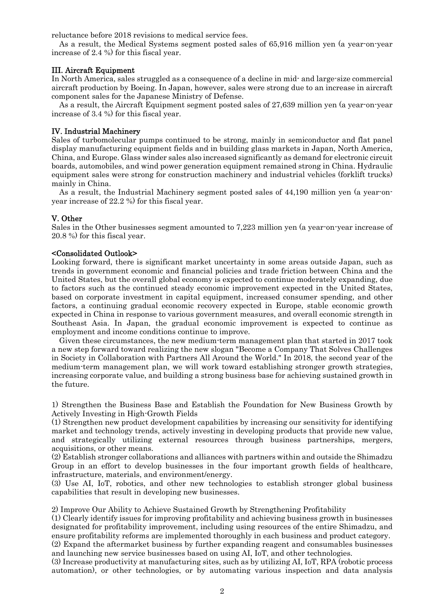reluctance before 2018 revisions to medical service fees.

As a result, the Medical Systems segment posted sales of 65,916 million yen (a year-on-year increase of 2.4 %) for this fiscal year.

### III. Aircraft Equipment

In North America, sales struggled as a consequence of a decline in mid- and large-size commercial aircraft production by Boeing. In Japan, however, sales were strong due to an increase in aircraft component sales for the Japanese Ministry of Defense.

As a result, the Aircraft Equipment segment posted sales of 27,639 million yen (a year-on-year increase of 3.4 %) for this fiscal year.

### IV. Industrial Machinery

Sales of turbomolecular pumps continued to be strong, mainly in semiconductor and flat panel display manufacturing equipment fields and in building glass markets in Japan, North America, China, and Europe. Glass winder sales also increased significantly as demand for electronic circuit boards, automobiles, and wind power generation equipment remained strong in China. Hydraulic equipment sales were strong for construction machinery and industrial vehicles (forklift trucks) mainly in China.

As a result, the Industrial Machinery segment posted sales of 44,190 million yen (a year-onyear increase of 22.2 %) for this fiscal year.

### V. Other

Sales in the Other businesses segment amounted to 7,223 million yen (a year-on-year increase of 20.8 %) for this fiscal year.

### <Consolidated Outlook>

Looking forward, there is significant market uncertainty in some areas outside Japan, such as trends in government economic and financial policies and trade friction between China and the United States, but the overall global economy is expected to continue moderately expanding, due to factors such as the continued steady economic improvement expected in the United States, based on corporate investment in capital equipment, increased consumer spending, and other factors, a continuing gradual economic recovery expected in Europe, stable economic growth expected in China in response to various government measures, and overall economic strength in Southeast Asia. In Japan, the gradual economic improvement is expected to continue as employment and income conditions continue to improve.

Given these circumstances, the new medium-term management plan that started in 2017 took a new step forward toward realizing the new slogan "Become a Company That Solves Challenges in Society in Collaboration with Partners All Around the World." In 2018, the second year of the medium-term management plan, we will work toward establishing stronger growth strategies, increasing corporate value, and building a strong business base for achieving sustained growth in the future.

1) Strengthen the Business Base and Establish the Foundation for New Business Growth by Actively Investing in High-Growth Fields

(1) Strengthen new product development capabilities by increasing our sensitivity for identifying market and technology trends, actively investing in developing products that provide new value, and strategically utilizing external resources through business partnerships, mergers, acquisitions, or other means.

(2) Establish stronger collaborations and alliances with partners within and outside the Shimadzu Group in an effort to develop businesses in the four important growth fields of healthcare, infrastructure, materials, and environment/energy.

(3) Use AI, IoT, robotics, and other new technologies to establish stronger global business capabilities that result in developing new businesses.

2) Improve Our Ability to Achieve Sustained Growth by Strengthening Profitability

(1) Clearly identify issues for improving profitability and achieving business growth in businesses designated for profitability improvement, including using resources of the entire Shimadzu, and ensure profitability reforms are implemented thoroughly in each business and product category. (2) Expand the aftermarket business by further expanding reagent and consumables businesses and launching new service businesses based on using AI, IoT, and other technologies.

(3) Increase productivity at manufacturing sites, such as by utilizing AI, IoT, RPA (robotic process automation), or other technologies, or by automating various inspection and data analysis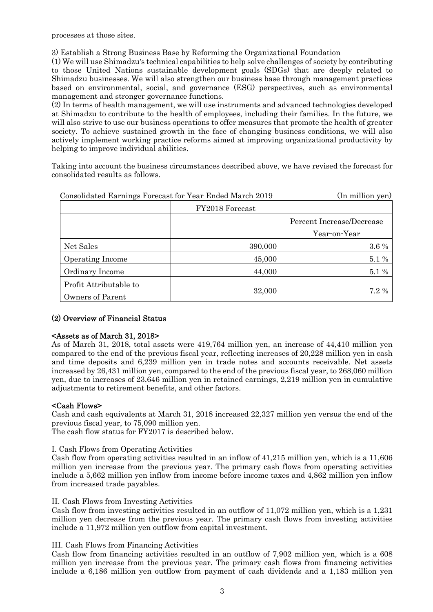processes at those sites.

3) Establish a Strong Business Base by Reforming the Organizational Foundation

(1) We will use Shimadzu's technical capabilities to help solve challenges of society by contributing to those United Nations sustainable development goals (SDGs) that are deeply related to Shimadzu businesses. We will also strengthen our business base through management practices based on environmental, social, and governance (ESG) perspectives, such as environmental management and stronger governance functions.

(2) In terms of health management, we will use instruments and advanced technologies developed at Shimadzu to contribute to the health of employees, including their families. In the future, we will also strive to use our business operations to offer measures that promote the health of greater society. To achieve sustained growth in the face of changing business conditions, we will also actively implement working practice reforms aimed at improving organizational productivity by helping to improve individual abilities.

Taking into account the business circumstances described above, we have revised the forecast for consolidated results as follows.

| Consolidated Earnings Forecast for Year Ended March 2019 |                 | (In million yen)          |
|----------------------------------------------------------|-----------------|---------------------------|
|                                                          | FY2018 Forecast |                           |
|                                                          |                 | Percent Increase/Decrease |
|                                                          |                 | Year-on-Year              |
| Net Sales                                                | 390,000         | 3.6 %                     |
| Operating Income                                         | 45,000          | 5.1 %                     |
| Ordinary Income                                          | 44,000          | 5.1 %                     |
| Profit Attributable to                                   |                 |                           |
| Owners of Parent                                         | 32,000          | 7.2%                      |

## (2) Overview of Financial Status

### <Assets as of March 31, 2018>

As of March 31, 2018, total assets were 419,764 million yen, an increase of 44,410 million yen compared to the end of the previous fiscal year, reflecting increases of 20,228 million yen in cash and time deposits and 6,239 million yen in trade notes and accounts receivable. Net assets increased by 26,431 million yen, compared to the end of the previous fiscal year, to 268,060 million yen, due to increases of 23,646 million yen in retained earnings, 2,219 million yen in cumulative adjustments to retirement benefits, and other factors.

### <Cash Flows>

Cash and cash equivalents at March 31, 2018 increased 22,327 million yen versus the end of the previous fiscal year, to 75,090 million yen.

The cash flow status for FY2017 is described below.

I. Cash Flows from Operating Activities

Cash flow from operating activities resulted in an inflow of 41,215 million yen, which is a 11,606 million yen increase from the previous year. The primary cash flows from operating activities include a 5,662 million yen inflow from income before income taxes and 4,862 million yen inflow from increased trade payables.

### II. Cash Flows from Investing Activities

Cash flow from investing activities resulted in an outflow of 11,072 million yen, which is a 1,231 million yen decrease from the previous year. The primary cash flows from investing activities include a 11,972 million yen outflow from capital investment.

### III. Cash Flows from Financing Activities

Cash flow from financing activities resulted in an outflow of 7,902 million yen, which is a 608 million yen increase from the previous year. The primary cash flows from financing activities include a 6,186 million yen outflow from payment of cash dividends and a 1,183 million yen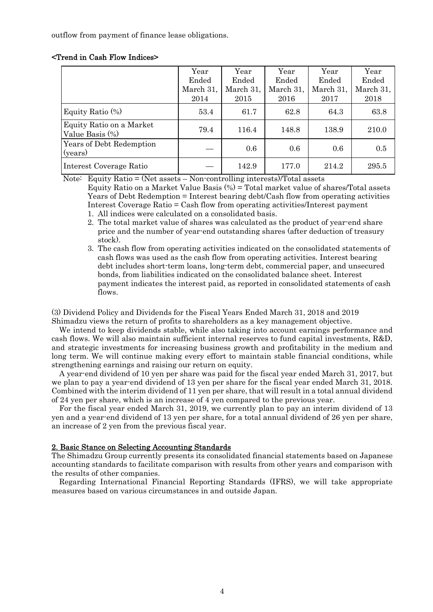outflow from payment of finance lease obligations.

### <Trend in Cash Flow Indices>

|                                             | Year      | Year      | Year      | Year      | Year      |
|---------------------------------------------|-----------|-----------|-----------|-----------|-----------|
|                                             | Ended     | Ended     | Ended     | Ended     | Ended     |
|                                             | March 31, | March 31, | March 31, | March 31, | March 31, |
|                                             | 2014      | 2015      | 2016      | 2017      | 2018      |
| Equity Ratio $(\%)$                         | 53.4      | 61.7      | 62.8      | 64.3      | 63.8      |
| Equity Ratio on a Market<br>Value Basis (%) | 79.4      | 116.4     | 148.8     | 138.9     | 210.0     |
| Years of Debt Redemption<br>(years)         |           | 0.6       | 0.6       | 0.6       | 0.5       |
| Interest Coverage Ratio                     |           | 142.9     | 177.0     | 214.2     | 295.5     |

Note: Equity Ratio = (Net assets – Non-controlling interests)/Total assets

Equity Ratio on a Market Value Basis (%) = Total market value of shares/Total assets Years of Debt Redemption = Interest bearing debt/Cash flow from operating activities Interest Coverage Ratio = Cash flow from operating activities/Interest payment 1. All indices were calculated on a consolidated basis.

- 2. The total market value of shares was calculated as the product of year-end share price and the number of year-end outstanding shares (after deduction of treasury stock).
- 3. The cash flow from operating activities indicated on the consolidated statements of cash flows was used as the cash flow from operating activities. Interest bearing debt includes short-term loans, long-term debt, commercial paper, and unsecured bonds, from liabilities indicated on the consolidated balance sheet. Interest payment indicates the interest paid, as reported in consolidated statements of cash flows.

(3) Dividend Policy and Dividends for the Fiscal Years Ended March 31, 2018 and 2019 Shimadzu views the return of profits to shareholders as a key management objective.

We intend to keep dividends stable, while also taking into account earnings performance and cash flows. We will also maintain sufficient internal reserves to fund capital investments, R&D, and strategic investments for increasing business growth and profitability in the medium and long term. We will continue making every effort to maintain stable financial conditions, while strengthening earnings and raising our return on equity.

A year-end dividend of 10 yen per share was paid for the fiscal year ended March 31, 2017, but we plan to pay a year-end dividend of 13 yen per share for the fiscal year ended March 31, 2018. Combined with the interim dividend of 11 yen per share, that will result in a total annual dividend of 24 yen per share, which is an increase of 4 yen compared to the previous year.

For the fiscal year ended March 31, 2019, we currently plan to pay an interim dividend of 13 yen and a year-end dividend of 13 yen per share, for a total annual dividend of 26 yen per share, an increase of 2 yen from the previous fiscal year.

### 2. Basic Stance on Selecting Accounting Standards

The Shimadzu Group currently presents its consolidated financial statements based on Japanese accounting standards to facilitate comparison with results from other years and comparison with the results of other companies.

Regarding International Financial Reporting Standards (IFRS), we will take appropriate measures based on various circumstances in and outside Japan.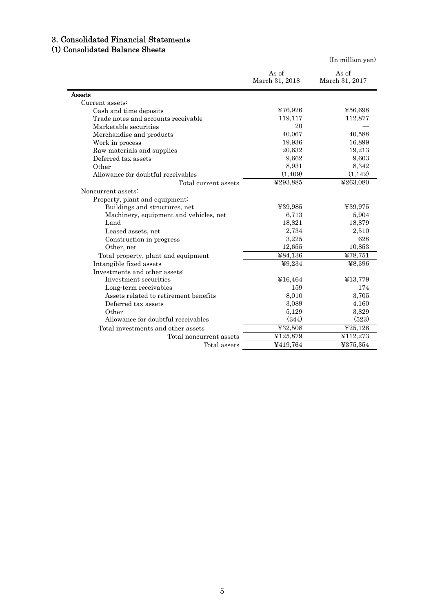# 3. Consolidated Financial Statements

# (1) Consolidated Balance Sheets

|                                        |                         | (In million yen)        |
|----------------------------------------|-------------------------|-------------------------|
|                                        | As of<br>March 31, 2018 | As of<br>March 31, 2017 |
| Assets                                 |                         |                         |
| Current assets:                        |                         |                         |
| Cash and time deposits                 | ¥76,926                 | ¥56,698                 |
| Trade notes and accounts receivable    | 119,117                 | 112,877                 |
| Marketable securities                  | 20                      |                         |
| Merchandise and products               | 40,067                  | 40,588                  |
| Work in process                        | 19,936                  | 16,899                  |
| Raw materials and supplies             | 20,632                  | 19,213                  |
| Deferred tax assets                    | 9,662                   | 9,603                   |
| Other                                  | 8,931                   | 8,342                   |
| Allowance for doubtful receivables     | (1,409)                 | (1, 142)                |
| Total current assets                   | ¥293,885                | ¥263,080                |
| Noncurrent assets:                     |                         |                         |
| Property, plant and equipment:         |                         |                         |
| Buildings and structures, net          | ¥39,985                 | ¥39,975                 |
| Machinery, equipment and vehicles, net | 6,713                   | 5,904                   |
| Land                                   | 18,821                  | 18,879                  |
| Leased assets, net                     | 2,734                   | 2,510                   |
| Construction in progress               | 3,225                   | 628                     |
| Other, net                             | 12,655                  | 10,853                  |
| Total property, plant and equipment    | ¥84,136                 | ¥78,751                 |
| Intangible fixed assets                | 49,234                  | ¥8,396                  |
| Investments and other assets:          |                         |                         |
| Investment securities                  | ¥16,464                 | ¥13,779                 |
| Long-term receivables                  | 159                     | 174                     |
| Assets related to retirement benefits  | 8,010                   | 3,705                   |
| Deferred tax assets                    | 3,089                   | 4,160                   |
| Other                                  | 5,129                   | 3,829                   |
| Allowance for doubtful receivables     | (344)                   | (523)                   |
| Total investments and other assets     | ¥32,508                 | 425,126                 |
| Total noncurrent assets                | ¥125,879                | ¥112,273                |
| Total assets                           | ¥419,764                | 4375,354                |
|                                        |                         |                         |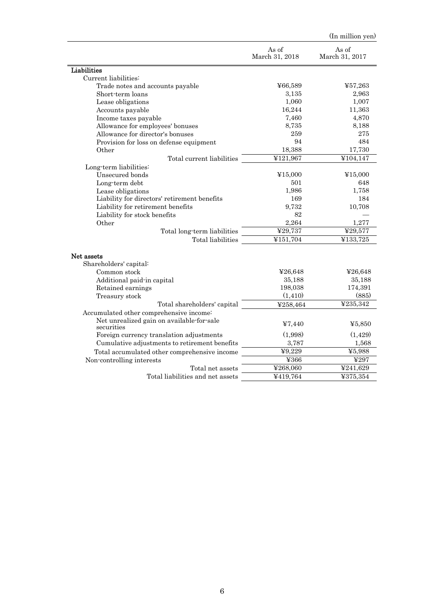|                                                         |                         | (In million yen)        |
|---------------------------------------------------------|-------------------------|-------------------------|
|                                                         | As of<br>March 31, 2018 | As of<br>March 31, 2017 |
| <b>Liabilities</b>                                      |                         |                         |
| Current liabilities:                                    |                         |                         |
| Trade notes and accounts payable                        | ¥66,589                 | ¥57,263                 |
| Short-term loans                                        | 3,135                   | 2,963                   |
| Lease obligations                                       | 1,060                   | 1,007                   |
| Accounts payable                                        | 16,244                  | 11,363                  |
| Income taxes payable                                    | 7,460                   | 4,870                   |
| Allowance for employees' bonuses                        | 8,735                   | 8,188                   |
| Allowance for director's bonuses                        | 259                     | 275                     |
| Provision for loss on defense equipment                 | 94                      | 484                     |
| Other                                                   | 18,388                  | 17,730                  |
| Total current liabilities                               | ¥121,967                | ¥104,147                |
| Long-term liabilities:                                  |                         |                         |
| Unsecured bonds                                         | ¥15,000                 | ¥15,000                 |
| Long-term debt                                          | 501                     | 648                     |
| Lease obligations                                       | 1,986                   | 1,758                   |
| Liability for directors' retirement benefits            | 169                     | 184                     |
| Liability for retirement benefits                       | 9,732                   | 10,708                  |
| Liability for stock benefits                            | 82                      |                         |
| Other                                                   | 2,264                   | 1,277                   |
| Total long-term liabilities                             | ¥29,737                 | ¥29,577                 |
| Total liabilities                                       | ¥151,704                | ¥133,725                |
| Net assets                                              |                         |                         |
| Shareholders' capital:                                  |                         |                         |
| Common stock                                            | 426,648                 | 426,648                 |
| Additional paid-in capital                              | 35,188                  | 35,188                  |
| Retained earnings                                       | 198,038                 | 174,391                 |
| Treasury stock                                          | (1, 410)                | (885)                   |
| Total shareholders' capital                             | ¥258,464                | ¥235,342                |
| Accumulated other comprehensive income:                 |                         |                         |
| Net unrealized gain on available-for-sale<br>securities | 440                     | 45,850                  |
| Foreign currency translation adjustments                | (1,998)                 | (1,429)                 |
| Cumulative adjustments to retirement benefits           | 3,787                   | 1,568                   |
| Total accumulated other comprehensive income            | $\overline{49,229}$     | ¥5,988                  |
| Non-controlling interests                               | ¥366                    | ¥297                    |
| Total net assets                                        | ¥268,060                | ¥241,629                |
| Total liabilities and net assets                        | 4419,764                | ¥375,354                |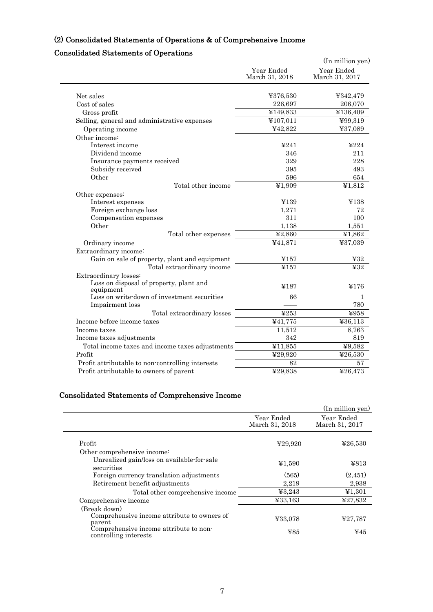# (2) Consolidated Statements of Operations & of Comprehensive Income

# Consolidated Statements of Operations

| Year Ended<br>March 31, 2018<br>¥376,530<br>Net sales<br>Cost of sales<br>226,697<br>¥149,833<br>Gross profit<br>Selling, general and administrative expenses<br>¥107,011<br>¥42,822<br>Operating income<br>Other income:<br>Interest income<br>4241 |                              |
|------------------------------------------------------------------------------------------------------------------------------------------------------------------------------------------------------------------------------------------------------|------------------------------|
|                                                                                                                                                                                                                                                      | Year Ended<br>March 31, 2017 |
|                                                                                                                                                                                                                                                      |                              |
|                                                                                                                                                                                                                                                      | ¥342,479                     |
|                                                                                                                                                                                                                                                      | 206,070<br>¥136,409          |
|                                                                                                                                                                                                                                                      |                              |
|                                                                                                                                                                                                                                                      | ¥99,319                      |
|                                                                                                                                                                                                                                                      | ¥37,089                      |
|                                                                                                                                                                                                                                                      |                              |
|                                                                                                                                                                                                                                                      | 4224                         |
| Dividend income<br>346                                                                                                                                                                                                                               | 211                          |
| 329<br>Insurance payments received                                                                                                                                                                                                                   | 228                          |
| Subsidy received<br>395                                                                                                                                                                                                                              | 493                          |
| Other<br>596                                                                                                                                                                                                                                         | 654                          |
| Total other income<br>¥1.909                                                                                                                                                                                                                         | ¥1,812                       |
| Other expenses:                                                                                                                                                                                                                                      |                              |
| Interest expenses<br>¥139                                                                                                                                                                                                                            | ¥138                         |
| Foreign exchange loss<br>1,271                                                                                                                                                                                                                       | 72                           |
| Compensation expenses<br>311                                                                                                                                                                                                                         | 100                          |
| Other<br>1,138                                                                                                                                                                                                                                       | 1,551                        |
| $\overline{42,860}$<br>Total other expenses                                                                                                                                                                                                          | ¥1,862                       |
| ¥41,871<br>Ordinary income                                                                                                                                                                                                                           | ¥37,039                      |
| Extraordinary income:                                                                                                                                                                                                                                |                              |
| Gain on sale of property, plant and equipment<br>¥157                                                                                                                                                                                                | 432                          |
| ¥157<br>Total extraordinary income                                                                                                                                                                                                                   | 432                          |
| Extraordinary losses:                                                                                                                                                                                                                                |                              |
| Loss on disposal of property, plant and<br>¥187<br>equipment                                                                                                                                                                                         | ¥176                         |
| Loss on write-down of investment securities<br>66                                                                                                                                                                                                    | 1                            |
| Impairment loss                                                                                                                                                                                                                                      | 780                          |
| ¥253<br>Total extraordinary losses                                                                                                                                                                                                                   | ¥958                         |
| Income before income taxes<br>441,775                                                                                                                                                                                                                | ¥36,113                      |
| 11,512<br>Income taxes                                                                                                                                                                                                                               | 8,763                        |
| 342<br>Income taxes adjustments                                                                                                                                                                                                                      | 819                          |
| $\overline{411,855}$<br>Total income taxes and income taxes adjustments                                                                                                                                                                              | ¥9,582                       |
| Profit<br>¥29,920                                                                                                                                                                                                                                    | ¥26,530                      |
| 82<br>Profit attributable to non-controlling interests                                                                                                                                                                                               | 57                           |
| ¥29,838<br>Profit attributable to owners of parent                                                                                                                                                                                                   | ¥26,473                      |

# Consolidated Statements of Comprehensive Income

|                                                                 |                              | (In million yen)             |
|-----------------------------------------------------------------|------------------------------|------------------------------|
|                                                                 | Year Ended<br>March 31, 2018 | Year Ended<br>March 31, 2017 |
| Profit                                                          | 429,920                      | 426,530                      |
| Other comprehensive income?                                     |                              |                              |
| Unrealized gain/loss on available-for-sale<br>securities        | ¥1,590                       | 4813                         |
| Foreign currency translation adjustments                        | (565)                        | (2,451)                      |
| Retirement benefit adjustments                                  | 2,219                        | 2,938                        |
| Total other comprehensive income                                | 43,243                       | 41,301                       |
| Comprehensive income                                            | ¥33,163                      | ¥27,832                      |
| (Break down)                                                    |                              |                              |
| Comprehensive income attribute to owners of<br>parent           | ¥33,078                      | 427,787                      |
| Comprehensive income attribute to non-<br>controlling interests | ¥85                          | ¥45                          |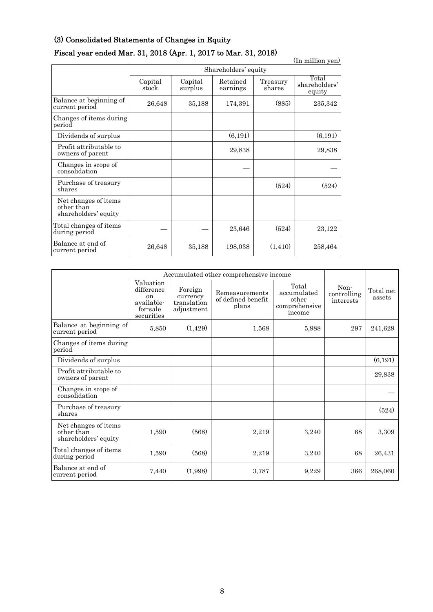## (3) Consolidated Statements of Changes in Equity

# Fiscal year ended Mar. 31, 2018 (Apr. 1, 2017 to Mar. 31, 2018)

(In million yen) Shareholders' equity Capital stock Capital surplus Retained earnings Treasury shares<sup>-</sup> Total shareholders' equity Balance at beginning of  $\begin{array}{|l} 26,648 & 35,188 & 174,391 \end{array}$  (885) 235,342 Changes of items during period Dividends of surplus  $(6,191)$   $(6,191)$   $(6,191)$ Profit attributable to  $\begin{array}{|c|c|c|c|c|c|}\n\hline\n\text{owners of parent} & & & 29,838 & & 29,838\n\end{array}$ Changes in scope of consolidation Purchase of treasury shares (524) (524) Net changes of items other than shareholders' equity Total changes of items  $23,646$   $(524)$   $23,122$ Balance at end of **Example at end or** 26,648 35,188 198,038 (1,410) 258,464

|                                                            |                                                                       | Accumulated other comprehensive income           |                                               |                                                          |                                  |                     |
|------------------------------------------------------------|-----------------------------------------------------------------------|--------------------------------------------------|-----------------------------------------------|----------------------------------------------------------|----------------------------------|---------------------|
|                                                            | Valuation<br>difference<br>on<br>available-<br>for-sale<br>securities | Foreign<br>currency<br>translation<br>adjustment | Remeasurements<br>of defined benefit<br>plans | Total<br>accumulated<br>other<br>comprehensive<br>income | Non-<br>controlling<br>interests | Total net<br>assets |
| Balance at beginning of<br>current period                  | 5,850                                                                 | (1,429)                                          | 1,568                                         | 5,988                                                    | 297                              | 241,629             |
| Changes of items during<br>period                          |                                                                       |                                                  |                                               |                                                          |                                  |                     |
| Dividends of surplus                                       |                                                                       |                                                  |                                               |                                                          |                                  | (6, 191)            |
| Profit attributable to<br>owners of parent                 |                                                                       |                                                  |                                               |                                                          |                                  | 29,838              |
| Changes in scope of<br>consolidation                       |                                                                       |                                                  |                                               |                                                          |                                  |                     |
| Purchase of treasury<br>shares                             |                                                                       |                                                  |                                               |                                                          |                                  | (524)               |
| Net changes of items<br>other than<br>shareholders' equity | 1,590                                                                 | (568)                                            | 2,219                                         | 3,240                                                    | 68                               | 3,309               |
| Total changes of items<br>during period                    | 1,590                                                                 | (568)                                            | 2,219                                         | 3,240                                                    | 68                               | 26,431              |
| Balance at end of<br>current period                        | 7,440                                                                 | (1,998)                                          | 3,787                                         | 9,229                                                    | 366                              | 268,060             |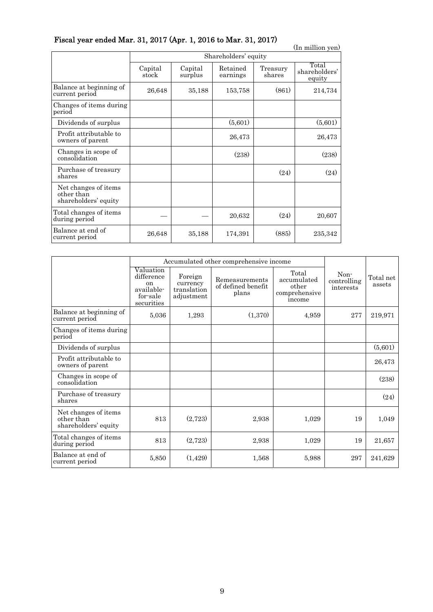| Fiscal year ended Mar. 31, 2017 (Apr. 1, 2016 to Mar. 31, 2017) |  |  |  |  |
|-----------------------------------------------------------------|--|--|--|--|
|-----------------------------------------------------------------|--|--|--|--|

| I istal year chucu mar. 01, 2017 \{\pi. 1, 2010 to mar. 01, 2017<br>(In million yen) |                  |                      |                      |                    |                                  |  |  |  |
|--------------------------------------------------------------------------------------|------------------|----------------------|----------------------|--------------------|----------------------------------|--|--|--|
|                                                                                      |                  | Shareholders' equity |                      |                    |                                  |  |  |  |
|                                                                                      | Capital<br>stock | Capital<br>surplus   | Retained<br>earnings | Treasury<br>shares | Total<br>shareholders'<br>equity |  |  |  |
| Balance at beginning of<br>current period                                            | 26,648           | 35,188               | 153,758              | (861)              | 214,734                          |  |  |  |
| Changes of items during<br>period                                                    |                  |                      |                      |                    |                                  |  |  |  |
| Dividends of surplus                                                                 |                  |                      | (5,601)              |                    | (5,601)                          |  |  |  |
| Profit attributable to<br>owners of parent                                           |                  |                      | 26,473               |                    | 26,473                           |  |  |  |
| Changes in scope of<br>consolidation                                                 |                  |                      | (238)                |                    | (238)                            |  |  |  |
| Purchase of treasury<br>shares                                                       |                  |                      |                      | (24)               | (24)                             |  |  |  |
| Net changes of items<br>other than<br>shareholders' equity                           |                  |                      |                      |                    |                                  |  |  |  |
| Total changes of items<br>during period                                              |                  |                      | 20,632               | (24)               | 20,607                           |  |  |  |
| Balance at end of<br>current period                                                  | 26,648           | 35,188               | 174,391              | (885)              | 235,342                          |  |  |  |

|                                                            |                                                                       | Accumulated other comprehensive income           |                                               |                                                          |                                  |                     |
|------------------------------------------------------------|-----------------------------------------------------------------------|--------------------------------------------------|-----------------------------------------------|----------------------------------------------------------|----------------------------------|---------------------|
|                                                            | Valuation<br>difference<br>on<br>available-<br>for sale<br>securities | Foreign<br>currency<br>translation<br>adjustment | Remeasurements<br>of defined benefit<br>plans | Total<br>accumulated<br>other<br>comprehensive<br>income | Non-<br>controlling<br>interests | Total net<br>assets |
| Balance at beginning of<br>current period                  | 5,036                                                                 | 1,293                                            | (1,370)                                       | 4,959                                                    | 277                              | 219,971             |
| Changes of items during<br>period                          |                                                                       |                                                  |                                               |                                                          |                                  |                     |
| Dividends of surplus                                       |                                                                       |                                                  |                                               |                                                          |                                  | (5,601)             |
| Profit attributable to<br>owners of parent                 |                                                                       |                                                  |                                               |                                                          |                                  | 26,473              |
| Changes in scope of<br>consolidation                       |                                                                       |                                                  |                                               |                                                          |                                  | (238)               |
| Purchase of treasury<br>shares                             |                                                                       |                                                  |                                               |                                                          |                                  | (24)                |
| Net changes of items<br>other than<br>shareholders' equity | 813                                                                   | (2,723)                                          | 2,938                                         | 1,029                                                    | 19                               | 1,049               |
| Total changes of items<br>during period                    | 813                                                                   | (2,723)                                          | 2,938                                         | 1,029                                                    | 19                               | 21,657              |
| Balance at end of<br>current period                        | 5,850                                                                 | (1,429)                                          | 1,568                                         | 5,988                                                    | 297                              | 241,629             |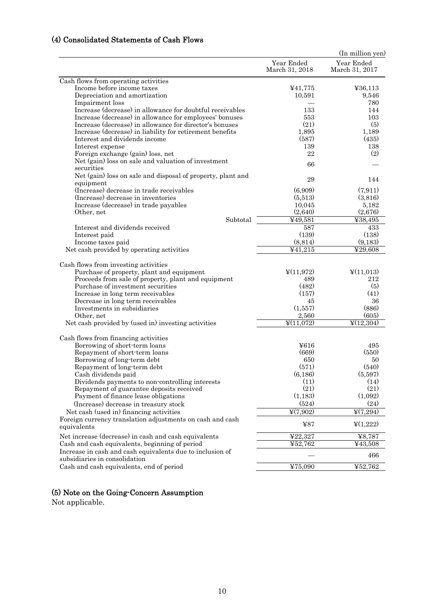# (4) Consolidated Statements of Cash Flows

|                                                                                                                                          |                              | (In million yen)             |
|------------------------------------------------------------------------------------------------------------------------------------------|------------------------------|------------------------------|
|                                                                                                                                          | Year Ended<br>March 31, 2018 | Year Ended<br>March 31, 2017 |
| Cash flows from operating activities                                                                                                     |                              |                              |
| Income before income taxes                                                                                                               | ¥41,775                      | 436,113                      |
| Depreciation and amortization                                                                                                            | 10,591                       | 9,546                        |
| Impairment loss                                                                                                                          |                              | 780                          |
| Increase (decrease) in allowance for doubtful receivables                                                                                | 133                          | 144                          |
| Increase (decrease) in allowance for employees' bonuses                                                                                  | 553                          | 103                          |
| Increase (decrease) in allowance for director's bonuses                                                                                  | (21)                         | (5)                          |
| Increase (decrease) in liability for retirement benefits                                                                                 | 1,895                        | 1,189                        |
| Interest and dividends income                                                                                                            | (587)                        | (435)                        |
| Interest expense                                                                                                                         | 139<br>22                    | 138<br>(2)                   |
| Foreign exchange (gain) loss, net                                                                                                        |                              |                              |
| Net (gain) loss on sale and valuation of investment<br>securities                                                                        | 66                           |                              |
| Net (gain) loss on sale and disposal of property, plant and                                                                              | 29                           | 144                          |
| equipment                                                                                                                                |                              |                              |
| (Increase) decrease in trade receivables                                                                                                 | (6,909)                      | (7, 911)                     |
| (Increase) decrease in inventories<br>Increase (decrease) in trade payables                                                              | (5,513)<br>10,045            | (3,816)                      |
| Other, net                                                                                                                               | (2,640)                      | 5,182<br>(2,676)             |
| Subtotal                                                                                                                                 | ¥49,581                      | ¥38,495                      |
| Interest and dividends received                                                                                                          | 587                          | 433                          |
| Interest paid                                                                                                                            | (139)                        | (138)                        |
| Income taxes paid                                                                                                                        | (8, 814)                     | (9,183)                      |
| Net cash provided by operating activities                                                                                                | $\overline{441,215}$         | ¥29,608                      |
| Cash flows from investing activities<br>Purchase of property, plant and equipment<br>Proceeds from sale of property, plant and equipment | $\frac{1}{2}(11,972)$<br>489 | $\Psi(11,013)$<br>212        |
| Purchase of investment securities                                                                                                        | (482)                        | (5)                          |
| Increase in long term receivables                                                                                                        | (157)                        | (41)                         |
| Decrease in long term receivables                                                                                                        | 45                           | 36                           |
| Investments in subsidiaries                                                                                                              | (1,557)                      | (886)                        |
| Other, net                                                                                                                               | 2,560                        | (605)                        |
| Net cash provided by (used in) investing activities                                                                                      | $\frac{1}{2}(11,072)$        | $\frac{1}{2}(12,304)$        |
| Cash flows from financing activities                                                                                                     |                              |                              |
| Borrowing of short-term loans                                                                                                            | ¥616                         | 495                          |
| Repayment of short-term loans                                                                                                            | (669)                        | (550)                        |
| Borrowing of long-term debt                                                                                                              | 650                          | 50                           |
| Repayment of long-term debt                                                                                                              | (571)                        | (540)                        |
| Cash dividends paid                                                                                                                      | (6, 186)                     | (5,597)                      |
| Dividends payments to non-controlling interests                                                                                          | (11)<br>(21)                 | (14)<br>(21)                 |
| Repayment of guarantee deposits received<br>Payment of finance lease obligations                                                         | (1,183)                      | (1,092)                      |
| (Increase) decrease in treasury stock                                                                                                    | (524)                        | (24)                         |
| Net cash (used in) financing activities                                                                                                  | $\frac{1}{2}(7,902)$         | $\frac{1}{2}(7,294)$         |
| Foreign currency translation adjustments on cash and cash                                                                                |                              |                              |
| equivalents                                                                                                                              | 487                          | $\frac{1}{2}(1,222)$         |
| Net increase (decrease) in cash and cash equivalents                                                                                     | ¥22,327                      | ¥8,787                       |
| Cash and cash equivalents, beginning of period                                                                                           | ¥52,762                      | ¥43,508                      |
| Increase in cash and cash equivalents due to inclusion of<br>subsidiaries in consolidation                                               |                              | 466                          |
| Cash and cash equivalents, end of period                                                                                                 | ¥75,090                      | ¥52,762                      |
|                                                                                                                                          |                              |                              |

### (5) Note on the Going-Concern Assumption

Not applicable.